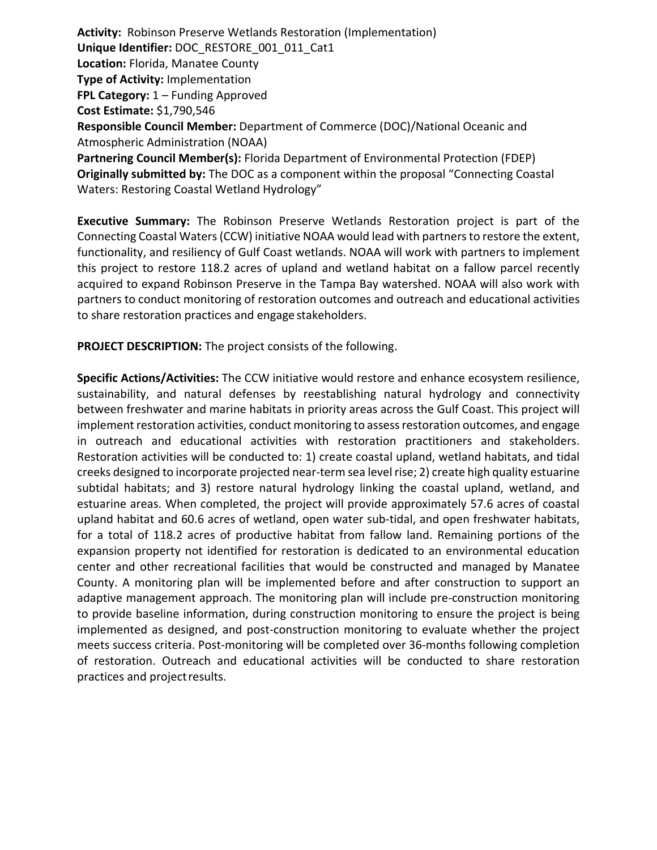**Activity:** Robinson Preserve Wetlands Restoration (Implementation) **Unique Identifier:** DOC\_RESTORE\_001\_011\_Cat1 **Location:** Florida, Manatee County **Type of Activity:** Implementation **FPL Category:** 1 – Funding Approved **Cost Estimate:** \$1,790,546 **Responsible Council Member:** Department of Commerce (DOC)/National Oceanic and Atmospheric Administration (NOAA) **Partnering Council Member(s):** Florida Department of Environmental Protection (FDEP) **Originally submitted by:** The DOC as a component within the proposal "Connecting Coastal Waters: Restoring Coastal Wetland Hydrology"

**Executive Summary:** The Robinson Preserve Wetlands Restoration project is part of the Connecting Coastal Waters(CCW) initiative NOAA would lead with partnersto restore the extent, functionality, and resiliency of Gulf Coast wetlands. NOAA will work with partners to implement this project to restore 118.2 acres of upland and wetland habitat on a fallow parcel recently acquired to expand Robinson Preserve in the Tampa Bay watershed. NOAA will also work with partners to conduct monitoring of restoration outcomes and outreach and educational activities to share restoration practices and engage stakeholders.

**PROJECT DESCRIPTION:** The project consists of the following.

**Specific Actions/Activities:** The CCW initiative would restore and enhance ecosystem resilience, sustainability, and natural defenses by reestablishing natural hydrology and connectivity between freshwater and marine habitats in priority areas across the Gulf Coast. This project will implement restoration activities, conduct monitoring to assess restoration outcomes, and engage in outreach and educational activities with restoration practitioners and stakeholders. Restoration activities will be conducted to: 1) create coastal upland, wetland habitats, and tidal creeks designed to incorporate projected near-term sea levelrise; 2) create high quality estuarine subtidal habitats; and 3) restore natural hydrology linking the coastal upland, wetland, and estuarine areas. When completed, the project will provide approximately 57.6 acres of coastal upland habitat and 60.6 acres of wetland, open water sub-tidal, and open freshwater habitats, for a total of 118.2 acres of productive habitat from fallow land. Remaining portions of the expansion property not identified for restoration is dedicated to an environmental education center and other recreational facilities that would be constructed and managed by Manatee County. A monitoring plan will be implemented before and after construction to support an adaptive management approach. The monitoring plan will include pre-construction monitoring to provide baseline information, during construction monitoring to ensure the project is being implemented as designed, and post-construction monitoring to evaluate whether the project meets success criteria. Post-monitoring will be completed over 36-months following completion of restoration. Outreach and educational activities will be conducted to share restoration practices and projectresults.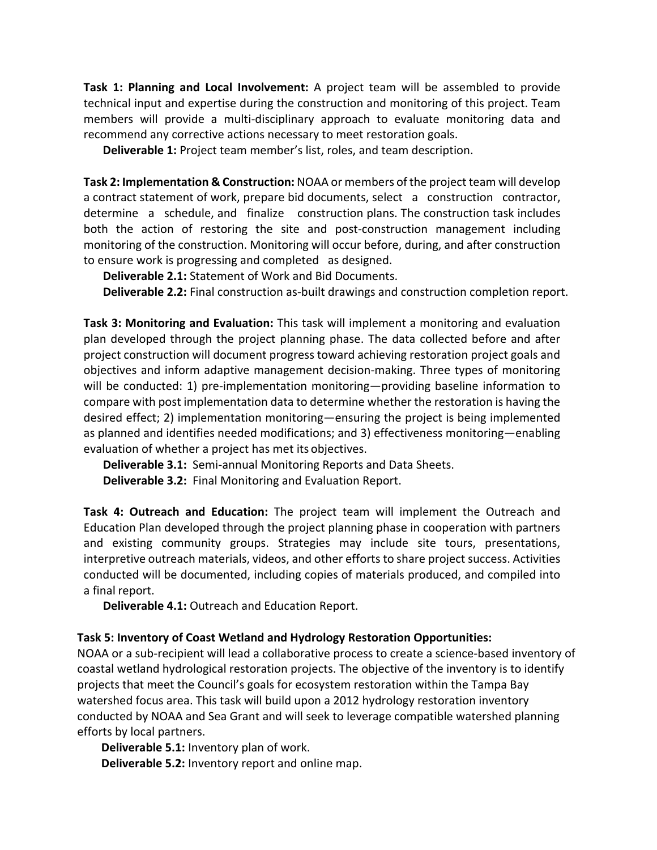**Task 1: Planning and Local Involvement:** A project team will be assembled to provide technical input and expertise during the construction and monitoring of this project. Team members will provide a multi-disciplinary approach to evaluate monitoring data and recommend any corrective actions necessary to meet restoration goals.

**Deliverable 1:** Project team member's list, roles, and team description.

**Task 2: Implementation & Construction:** NOAA or members of the project team will develop a contract statement of work, prepare bid documents, select a construction contractor, determine a schedule, and finalize construction plans. The construction task includes both the action of restoring the site and post-construction management including monitoring of the construction. Monitoring will occur before, during, and after construction to ensure work is progressing and completed as designed.

**Deliverable 2.1:** Statement of Work and Bid Documents.

**Deliverable 2.2:** Final construction as-built drawings and construction completion report.

**Task 3: Monitoring and Evaluation:** This task will implement a monitoring and evaluation plan developed through the project planning phase. The data collected before and after project construction will document progress toward achieving restoration project goals and objectives and inform adaptive management decision-making. Three types of monitoring will be conducted: 1) pre-implementation monitoring—providing baseline information to compare with post implementation data to determine whether the restoration is having the desired effect; 2) implementation monitoring—ensuring the project is being implemented as planned and identifies needed modifications; and 3) effectiveness monitoring—enabling evaluation of whether a project has met its objectives.

**Deliverable 3.1:** Semi-annual Monitoring Reports and Data Sheets.

**Deliverable 3.2:** Final Monitoring and Evaluation Report.

**Task 4: Outreach and Education:** The project team will implement the Outreach and Education Plan developed through the project planning phase in cooperation with partners and existing community groups. Strategies may include site tours, presentations, interpretive outreach materials, videos, and other efforts to share project success. Activities conducted will be documented, including copies of materials produced, and compiled into a final report.

**Deliverable 4.1:** Outreach and Education Report.

# **Task 5: Inventory of Coast Wetland and Hydrology Restoration Opportunities:**

NOAA or a sub-recipient will lead a collaborative process to create a science-based inventory of coastal wetland hydrological restoration projects. The objective of the inventory is to identify projects that meet the Council's goals for ecosystem restoration within the Tampa Bay watershed focus area. This task will build upon a 2012 hydrology restoration inventory conducted by NOAA and Sea Grant and will seek to leverage compatible watershed planning efforts by local partners.

**Deliverable 5.1:** Inventory plan of work.

**Deliverable 5.2:** Inventory report and online map.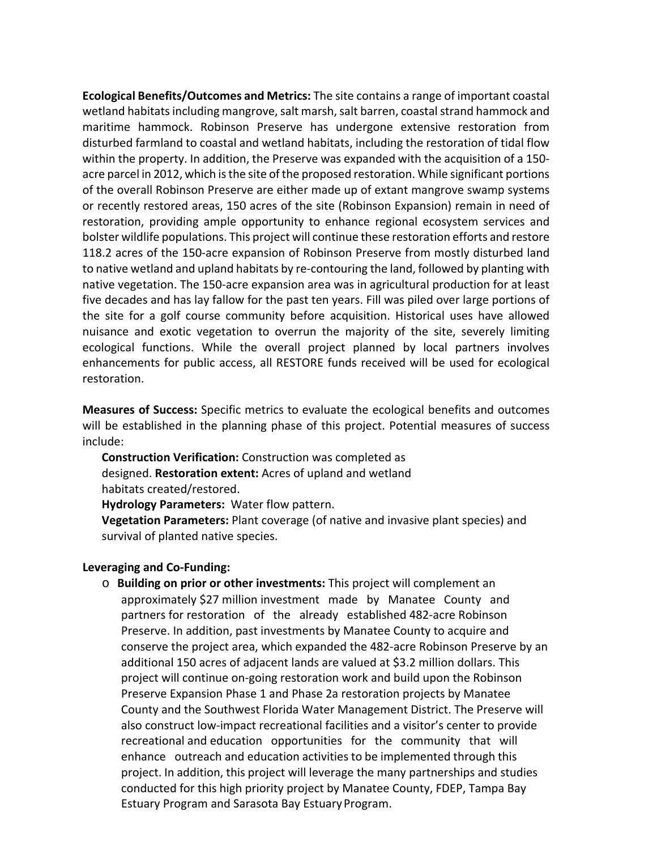**Ecological Benefits/Outcomes and Metrics:** The site contains a range of important coastal wetland habitats including mangrove, salt marsh, salt barren, coastal strand hammock and maritime hammock. Robinson Preserve has undergone extensive restoration from disturbed farmland to coastal and wetland habitats, including the restoration of tidal flow within the property. In addition, the Preserve was expanded with the acquisition of a 150 acre parcel in 2012, which is the site of the proposed restoration. While significant portions of the overall Robinson Preserve are either made up of extant mangrove swamp systems or recently restored areas, 150 acres of the site (Robinson Expansion) remain in need of restoration, providing ample opportunity to enhance regional ecosystem services and bolster wildlife populations. This project will continue these restoration efforts and restore 118.2 acres of the 150-acre expansion of Robinson Preserve from mostly disturbed land to native wetland and upland habitats by re-contouring the land, followed by planting with native vegetation. The 150-acre expansion area was in agricultural production for at least five decades and has lay fallow for the past ten years. Fill was piled over large portions of the site for a golf course community before acquisition. Historical uses have allowed nuisance and exotic vegetation to overrun the majority of the site, severely limiting ecological functions. While the overall project planned by local partners involves enhancements for public access, all RESTORE funds received will be used for ecological restoration.

**Measures of Success:** Specific metrics to evaluate the ecological benefits and outcomes will be established in the planning phase of this project. Potential measures of success include:

**Construction Verification:** Construction was completed as designed. **Restoration extent:** Acres of upland and wetland habitats created/restored.

**Hydrology Parameters:** Water flow pattern.

**Vegetation Parameters:** Plant coverage (of native and invasive plant species) and survival of planted native species.

# **Leveraging and Co-Funding:**

o **Building on prior or other investments:** This project will complement an approximately \$27 million investment made by Manatee County and partners for restoration of the already established 482-acre Robinson Preserve. In addition, past investments by Manatee County to acquire and conserve the project area, which expanded the 482-acre Robinson Preserve by an additional 150 acres of adjacent lands are valued at \$3.2 million dollars. This project will continue on-going restoration work and build upon the Robinson Preserve Expansion Phase 1 and Phase 2a restoration projects by Manatee County and the Southwest Florida Water Management District. The Preserve will also construct low-impact recreational facilities and a visitor's center to provide recreational and education opportunities for the community that will enhance outreach and education activitiesto be implemented through this project. In addition, this project will leverage the many partnerships and studies conducted for this high priority project by Manatee County, FDEP, Tampa Bay Estuary Program and Sarasota Bay EstuaryProgram.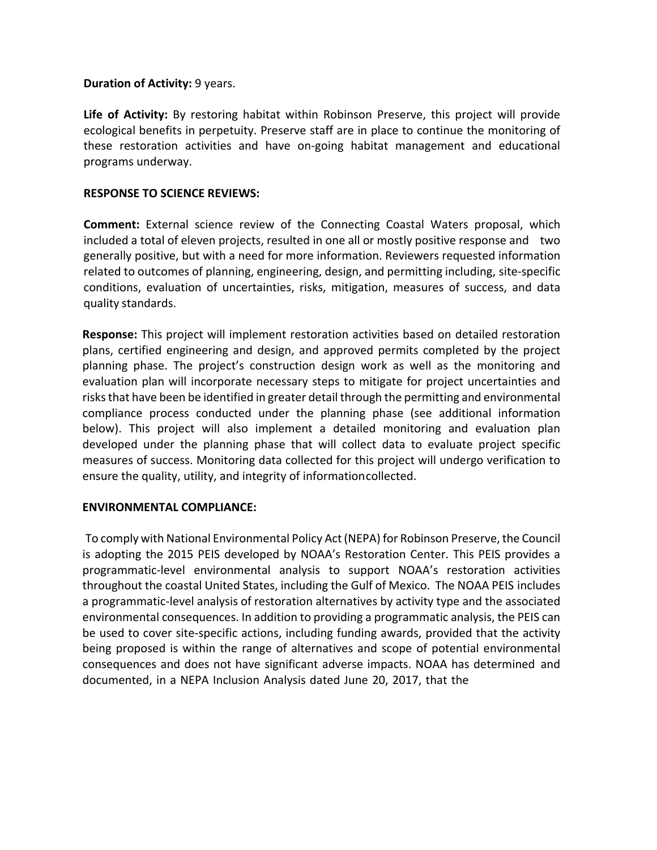### **Duration of Activity: 9 years.**

**Life of Activity:** By restoring habitat within Robinson Preserve, this project will provide ecological benefits in perpetuity. Preserve staff are in place to continue the monitoring of these restoration activities and have on-going habitat management and educational programs underway.

## **RESPONSE TO SCIENCE REVIEWS:**

**Comment:** External science review of the Connecting Coastal Waters proposal, which included a total of eleven projects, resulted in one all or mostly positive response and two generally positive, but with a need for more information. Reviewers requested information related to outcomes of planning, engineering, design, and permitting including, site-specific conditions, evaluation of uncertainties, risks, mitigation, measures of success, and data quality standards.

**Response:** This project will implement restoration activities based on detailed restoration plans, certified engineering and design, and approved permits completed by the project planning phase. The project's construction design work as well as the monitoring and evaluation plan will incorporate necessary steps to mitigate for project uncertainties and risks that have been be identified in greater detail through the permitting and environmental compliance process conducted under the planning phase (see additional information below). This project will also implement a detailed monitoring and evaluation plan developed under the planning phase that will collect data to evaluate project specific measures of success. Monitoring data collected for this project will undergo verification to ensure the quality, utility, and integrity of informationcollected.

# **ENVIRONMENTAL COMPLIANCE:**

To comply with National Environmental Policy Act (NEPA) for Robinson Preserve, the Council is adopting the 2015 PEIS developed by NOAA's Restoration Center. This PEIS provides a programmatic-level environmental analysis to support NOAA's restoration activities throughout the coastal United States, including the Gulf of Mexico. The NOAA PEIS includes a programmatic-level analysis of restoration alternatives by activity type and the associated environmental consequences. In addition to providing a programmatic analysis, the PEIS can be used to cover site-specific actions, including funding awards, provided that the activity being proposed is within the range of alternatives and scope of potential environmental consequences and does not have significant adverse impacts. NOAA has determined and documented, in a NEPA Inclusion Analysis dated June 20, 2017, that the